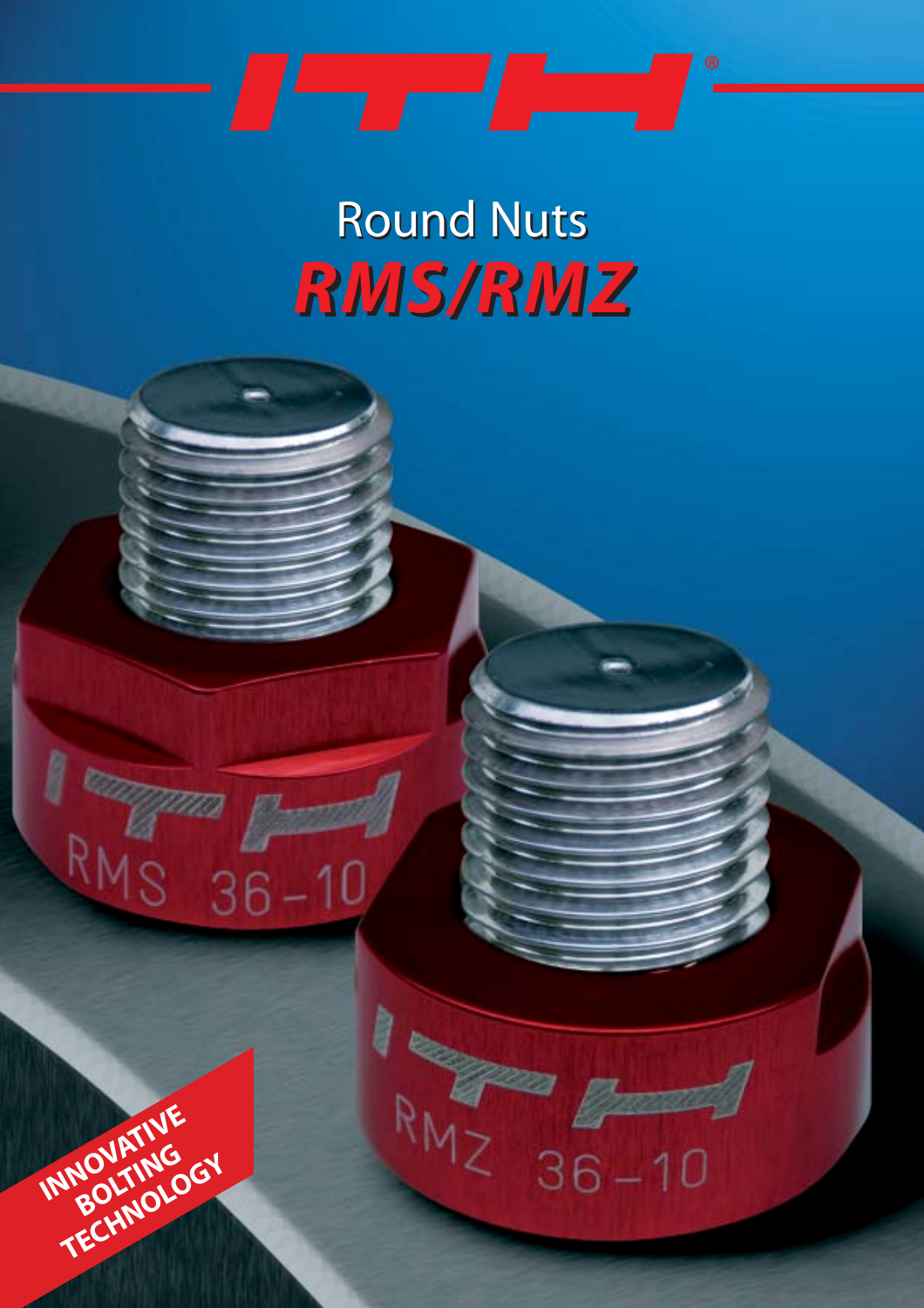*RMS/RMZ RMS/RMZ* Round Nuts Round Nuts

RMZ 36-10

**INNOVATIVE** 

**BOLTING TECHNOLOGY**

1